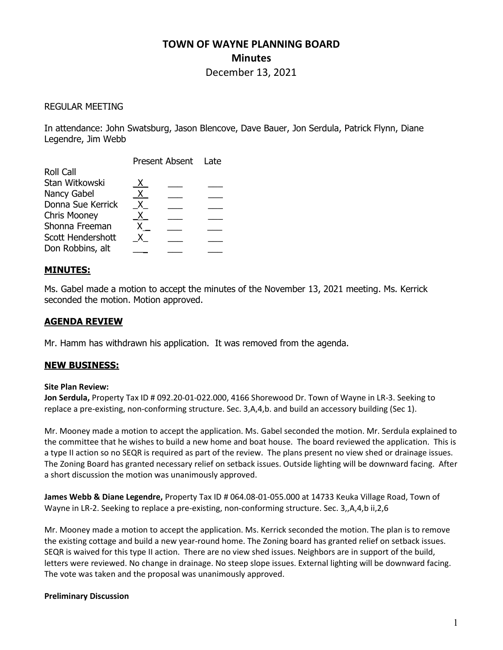# TOWN OF WAYNE PLANNING BOARD **Minutes**

December 13, 2021

## REGULAR MEETING

In attendance: John Swatsburg, Jason Blencove, Dave Bauer, Jon Serdula, Patrick Flynn, Diane Legendre, Jim Webb

|                     | Present Absent Late |  |  |
|---------------------|---------------------|--|--|
| <b>Roll Call</b>    |                     |  |  |
| Stan Witkowski      | X.                  |  |  |
| Nancy Gabel         | X.                  |  |  |
| Donna Sue Kerrick   | x.                  |  |  |
| <b>Chris Mooney</b> | X.                  |  |  |
| Shonna Freeman      |                     |  |  |
| Scott Hendershott   |                     |  |  |
| Don Robbins, alt    |                     |  |  |
|                     |                     |  |  |

# MINUTES:

Ms. Gabel made a motion to accept the minutes of the November 13, 2021 meeting. Ms. Kerrick seconded the motion. Motion approved.

# AGENDA REVIEW

Mr. Hamm has withdrawn his application. It was removed from the agenda.

### NEW BUSINESS:

#### Site Plan Review:

Jon Serdula, Property Tax ID # 092.20-01-022.000, 4166 Shorewood Dr. Town of Wayne in LR-3. Seeking to replace a pre-existing, non-conforming structure. Sec. 3,A,4,b. and build an accessory building (Sec 1).

Mr. Mooney made a motion to accept the application. Ms. Gabel seconded the motion. Mr. Serdula explained to the committee that he wishes to build a new home and boat house. The board reviewed the application. This is a type II action so no SEQR is required as part of the review. The plans present no view shed or drainage issues. The Zoning Board has granted necessary relief on setback issues. Outside lighting will be downward facing. After a short discussion the motion was unanimously approved.

James Webb & Diane Legendre, Property Tax ID # 064.08-01-055.000 at 14733 Keuka Village Road, Town of Wayne in LR-2. Seeking to replace a pre-existing, non-conforming structure. Sec. 3,,A,4,b ii,2,6

Mr. Mooney made a motion to accept the application. Ms. Kerrick seconded the motion. The plan is to remove the existing cottage and build a new year-round home. The Zoning board has granted relief on setback issues. SEQR is waived for this type II action. There are no view shed issues. Neighbors are in support of the build, letters were reviewed. No change in drainage. No steep slope issues. External lighting will be downward facing. The vote was taken and the proposal was unanimously approved.

### Preliminary Discussion